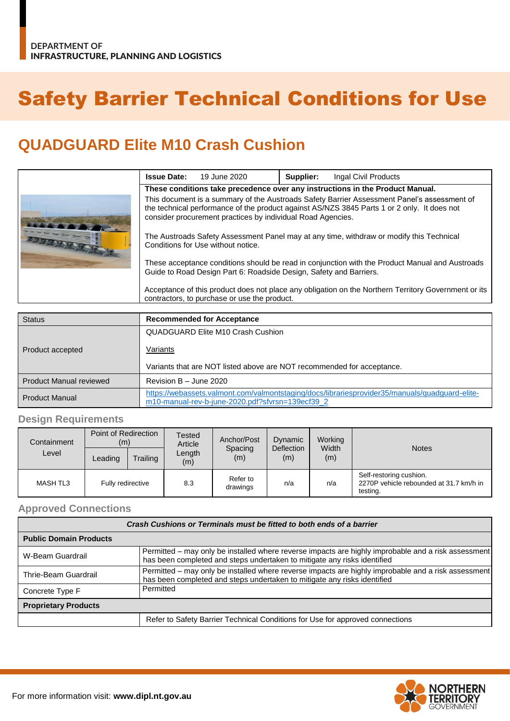# Safety Barrier Technical Conditions for Use

## **QUADGUARD Elite M10 Crash Cushion**

|  | <b>Issue Date:</b>                                                                                                                                                                                                                                        | 19 June 2020 | Supplier: | Ingal Civil Products |  |  |  |
|--|-----------------------------------------------------------------------------------------------------------------------------------------------------------------------------------------------------------------------------------------------------------|--------------|-----------|----------------------|--|--|--|
|  | These conditions take precedence over any instructions in the Product Manual.                                                                                                                                                                             |              |           |                      |  |  |  |
|  | This document is a summary of the Austroads Safety Barrier Assessment Panel's assessment of<br>the technical performance of the product against AS/NZS 3845 Parts 1 or 2 only. It does not<br>consider procurement practices by individual Road Agencies. |              |           |                      |  |  |  |
|  | The Austroads Safety Assessment Panel may at any time, withdraw or modify this Technical<br>Conditions for Use without notice.                                                                                                                            |              |           |                      |  |  |  |
|  | These acceptance conditions should be read in conjunction with the Product Manual and Austroads<br>Guide to Road Design Part 6: Roadside Design, Safety and Barriers.                                                                                     |              |           |                      |  |  |  |
|  | Acceptance of this product does not place any obligation on the Northern Territory Government or its<br>contractors, to purchase or use the product.                                                                                                      |              |           |                      |  |  |  |

| <b>Status</b>           | <b>Recommended for Acceptance</b>                                                                                                                  |  |  |  |
|-------------------------|----------------------------------------------------------------------------------------------------------------------------------------------------|--|--|--|
|                         | QUADGUARD Elite M10 Crash Cushion                                                                                                                  |  |  |  |
| Product accepted        | Variants                                                                                                                                           |  |  |  |
|                         | Variants that are NOT listed above are NOT recommended for acceptance.                                                                             |  |  |  |
| Product Manual reviewed | Revision $B -$ June 2020                                                                                                                           |  |  |  |
| <b>Product Manual</b>   | https://webassets.valmont.com/valmontstaging/docs/librariesprovider35/manuals/quadquard-elite-<br>m10-manual-rev-b-june-2020.pdf?sfvrsn=139ecf39 2 |  |  |  |

### **Design Requirements**

| Containment<br>Level | Point of Redirection<br>(m) |          | <b>Tested</b><br>Article | Anchor/Post          | Dynamic                  | Working      |                                                                                |
|----------------------|-----------------------------|----------|--------------------------|----------------------|--------------------------|--------------|--------------------------------------------------------------------------------|
|                      | Leading                     | Trailing | Length<br>(m)            | Spacing<br>(m)       | <b>Deflection</b><br>(m) | Width<br>(m) | <b>Notes</b>                                                                   |
| <b>MASH TL3</b>      | Fully redirective           |          | 8.3                      | Refer to<br>drawings | n/a                      | n/a          | Self-restoring cushion.<br>2270P vehicle rebounded at 31.7 km/h in<br>testing. |

#### **Approved Connections**

| Crash Cushions or Terminals must be fitted to both ends of a barrier |                                                                                                                                                                                 |  |  |  |  |
|----------------------------------------------------------------------|---------------------------------------------------------------------------------------------------------------------------------------------------------------------------------|--|--|--|--|
| <b>Public Domain Products</b>                                        |                                                                                                                                                                                 |  |  |  |  |
| W-Beam Guardrail                                                     | Permitted - may only be installed where reverse impacts are highly improbable and a risk assessment<br>has been completed and steps undertaken to mitigate any risks identified |  |  |  |  |
| Thrie-Beam Guardrail                                                 | Permitted - may only be installed where reverse impacts are highly improbable and a risk assessment<br>has been completed and steps undertaken to mitigate any risks identified |  |  |  |  |
| Concrete Type F                                                      | Permitted                                                                                                                                                                       |  |  |  |  |
| <b>Proprietary Products</b>                                          |                                                                                                                                                                                 |  |  |  |  |
|                                                                      | Refer to Safety Barrier Technical Conditions for Use for approved connections                                                                                                   |  |  |  |  |